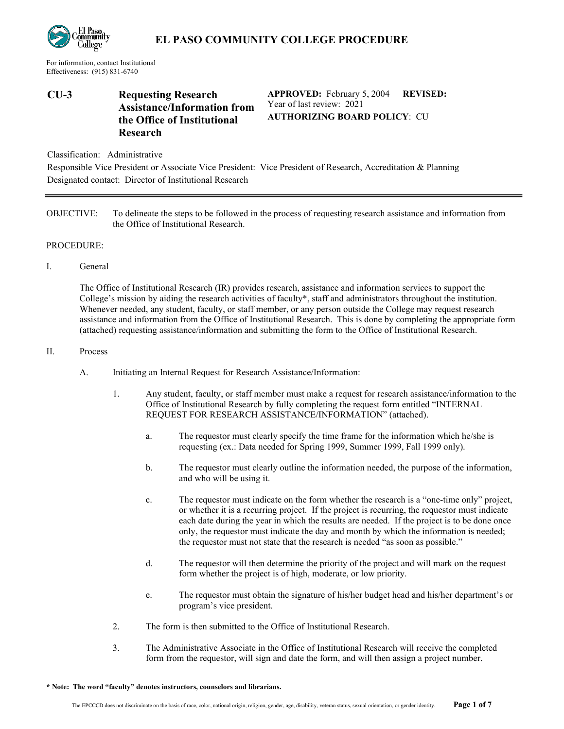

## **EL PASO COMMUNITY COLLEGE PROCEDURE**

For information, contact Institutional Effectiveness: (915) 831-6740

### **CU-3 Requesting Research Assistance/Information from the Office of Institutional Research**

**APPROVED:** February 5, 2004 Year of last review: 2021 **REVISED: AUTHORIZING BOARD POLICY**: CU

Classification: Administrative

Responsible Vice President or Associate Vice President: Vice President of Research, Accreditation & Planning Designated contact: Director of Institutional Research

OBJECTIVE: To delineate the steps to be followed in the process of requesting research assistance and information from the Office of Institutional Research.

#### PROCEDURE:

I. General

The Office of Institutional Research (IR) provides research, assistance and information services to support the College's mission by aiding the research activities of faculty\*, staff and administrators throughout the institution. Whenever needed, any student, faculty, or staff member, or any person outside the College may request research assistance and information from the Office of Institutional Research. This is done by completing the appropriate form (attached) requesting assistance/information and submitting the form to the Office of Institutional Research.

#### II. Process

- A. Initiating an Internal Request for Research Assistance/Information:
	- 1. Any student, faculty, or staff member must make a request for research assistance/information to the Office of Institutional Research by fully completing the request form entitled "INTERNAL REQUEST FOR RESEARCH ASSISTANCE/INFORMATION" (attached).
		- a. The requestor must clearly specify the time frame for the information which he/she is requesting (ex.: Data needed for Spring 1999, Summer 1999, Fall 1999 only).
		- b. The requestor must clearly outline the information needed, the purpose of the information, and who will be using it.
		- c. The requestor must indicate on the form whether the research is a "one-time only" project, or whether it is a recurring project. If the project is recurring, the requestor must indicate each date during the year in which the results are needed. If the project is to be done once only, the requestor must indicate the day and month by which the information is needed; the requestor must not state that the research is needed "as soon as possible."
		- d. The requestor will then determine the priority of the project and will mark on the request form whether the project is of high, moderate, or low priority.
		- e. The requestor must obtain the signature of his/her budget head and his/her department's or program's vice president.
	- 2. The form is then submitted to the Office of Institutional Research.
	- 3. The Administrative Associate in the Office of Institutional Research will receive the completed form from the requestor, will sign and date the form, and will then assign a project number.

**\* Note: The word "faculty" denotes instructors, counselors and librarians.**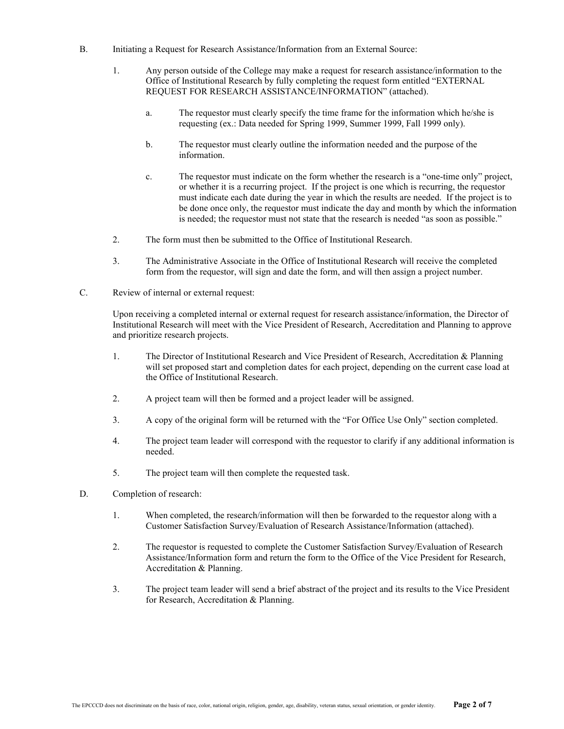- B. Initiating a Request for Research Assistance/Information from an External Source:
	- 1. Any person outside of the College may make a request for research assistance/information to the Office of Institutional Research by fully completing the request form entitled "EXTERNAL REQUEST FOR RESEARCH ASSISTANCE/INFORMATION" (attached).
		- a. The requestor must clearly specify the time frame for the information which he/she is requesting (ex.: Data needed for Spring 1999, Summer 1999, Fall 1999 only).
		- b. The requestor must clearly outline the information needed and the purpose of the information.
		- c. The requestor must indicate on the form whether the research is a "one-time only" project, or whether it is a recurring project. If the project is one which is recurring, the requestor must indicate each date during the year in which the results are needed. If the project is to be done once only, the requestor must indicate the day and month by which the information is needed; the requestor must not state that the research is needed "as soon as possible."
	- 2. The form must then be submitted to the Office of Institutional Research.
	- 3. The Administrative Associate in the Office of Institutional Research will receive the completed form from the requestor, will sign and date the form, and will then assign a project number.
- C. Review of internal or external request:

Upon receiving a completed internal or external request for research assistance/information, the Director of Institutional Research will meet with the Vice President of Research, Accreditation and Planning to approve and prioritize research projects.

- 1. The Director of Institutional Research and Vice President of Research, Accreditation & Planning will set proposed start and completion dates for each project, depending on the current case load at the Office of Institutional Research.
- 2. A project team will then be formed and a project leader will be assigned.
- 3. A copy of the original form will be returned with the "For Office Use Only" section completed.
- 4. The project team leader will correspond with the requestor to clarify if any additional information is needed.
- 5. The project team will then complete the requested task.
- D. Completion of research:
	- 1. When completed, the research/information will then be forwarded to the requestor along with a Customer Satisfaction Survey/Evaluation of Research Assistance/Information (attached).
	- 2. The requestor is requested to complete the Customer Satisfaction Survey/Evaluation of Research Assistance/Information form and return the form to the Office of the Vice President for Research, Accreditation & Planning.
	- 3. The project team leader will send a brief abstract of the project and its results to the Vice President for Research, Accreditation & Planning.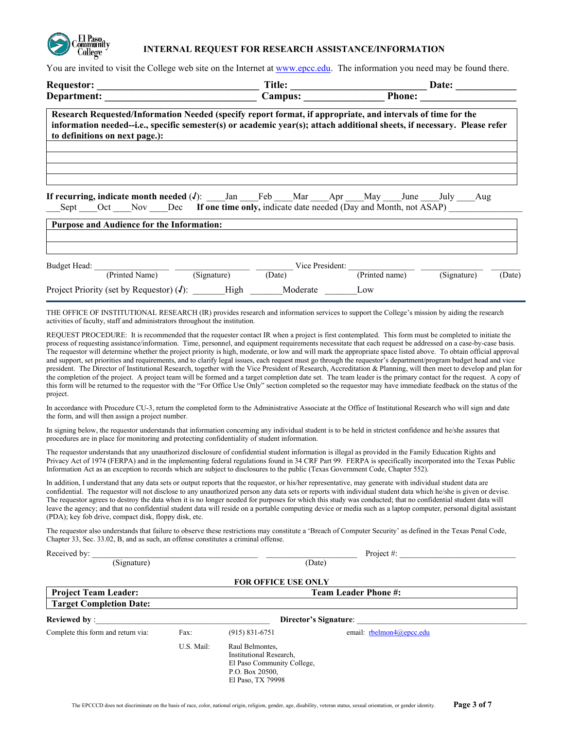

#### **INTERNAL REQUEST FOR RESEARCH ASSISTANCE/INFORMATION**

You are invited to visit the College web site on the Internet a[t www.epcc.edu.](http://www.epcc.edu/) The information you need may be found there.

|                                                                                                                                                                                                                                                                                                                                                                                                                                                                                                                                                                                                                                                                                                                                                                                                                                                                                                                                                                                                                                                                                                                                                                                                                                                                                                                                                                                                                                                                                                                                                                                                                                                                                                                                                                                                                                                                                                                                                                                                                                                                                                                                                                                                                                                                                                                                                                                                                                                                                                                                                                                                                                                                                                                                                                                                                                                                                                                                                     |            |                    |                                                       |                                                                                                                      | Date: $\qquad \qquad$                                                        |
|-----------------------------------------------------------------------------------------------------------------------------------------------------------------------------------------------------------------------------------------------------------------------------------------------------------------------------------------------------------------------------------------------------------------------------------------------------------------------------------------------------------------------------------------------------------------------------------------------------------------------------------------------------------------------------------------------------------------------------------------------------------------------------------------------------------------------------------------------------------------------------------------------------------------------------------------------------------------------------------------------------------------------------------------------------------------------------------------------------------------------------------------------------------------------------------------------------------------------------------------------------------------------------------------------------------------------------------------------------------------------------------------------------------------------------------------------------------------------------------------------------------------------------------------------------------------------------------------------------------------------------------------------------------------------------------------------------------------------------------------------------------------------------------------------------------------------------------------------------------------------------------------------------------------------------------------------------------------------------------------------------------------------------------------------------------------------------------------------------------------------------------------------------------------------------------------------------------------------------------------------------------------------------------------------------------------------------------------------------------------------------------------------------------------------------------------------------------------------------------------------------------------------------------------------------------------------------------------------------------------------------------------------------------------------------------------------------------------------------------------------------------------------------------------------------------------------------------------------------------------------------------------------------------------------------------------------------|------------|--------------------|-------------------------------------------------------|----------------------------------------------------------------------------------------------------------------------|------------------------------------------------------------------------------|
|                                                                                                                                                                                                                                                                                                                                                                                                                                                                                                                                                                                                                                                                                                                                                                                                                                                                                                                                                                                                                                                                                                                                                                                                                                                                                                                                                                                                                                                                                                                                                                                                                                                                                                                                                                                                                                                                                                                                                                                                                                                                                                                                                                                                                                                                                                                                                                                                                                                                                                                                                                                                                                                                                                                                                                                                                                                                                                                                                     |            |                    |                                                       |                                                                                                                      |                                                                              |
| Research Requested/Information Needed (specify report format, if appropriate, and intervals of time for the<br>information needed--i.e., specific semester(s) or academic year(s); attach additional sheets, if necessary. Please refer<br>to definitions on next page.):                                                                                                                                                                                                                                                                                                                                                                                                                                                                                                                                                                                                                                                                                                                                                                                                                                                                                                                                                                                                                                                                                                                                                                                                                                                                                                                                                                                                                                                                                                                                                                                                                                                                                                                                                                                                                                                                                                                                                                                                                                                                                                                                                                                                                                                                                                                                                                                                                                                                                                                                                                                                                                                                           |            |                    |                                                       | <u> 1989 - Johann Stein, mars an deutscher Stein und der Stein und der Stein und der Stein und der Stein und der</u> |                                                                              |
| <b>If recurring, indicate month needed (J)</b> : ____Jan ____Feb ___Mar ___Apr ___May ___June ____July ___Aug<br>Sept<br><b>Purpose and Audience for the Information:</b>                                                                                                                                                                                                                                                                                                                                                                                                                                                                                                                                                                                                                                                                                                                                                                                                                                                                                                                                                                                                                                                                                                                                                                                                                                                                                                                                                                                                                                                                                                                                                                                                                                                                                                                                                                                                                                                                                                                                                                                                                                                                                                                                                                                                                                                                                                                                                                                                                                                                                                                                                                                                                                                                                                                                                                           |            |                    |                                                       |                                                                                                                      | Oct Nov Dec If one time only, indicate date needed (Day and Month, not ASAP) |
|                                                                                                                                                                                                                                                                                                                                                                                                                                                                                                                                                                                                                                                                                                                                                                                                                                                                                                                                                                                                                                                                                                                                                                                                                                                                                                                                                                                                                                                                                                                                                                                                                                                                                                                                                                                                                                                                                                                                                                                                                                                                                                                                                                                                                                                                                                                                                                                                                                                                                                                                                                                                                                                                                                                                                                                                                                                                                                                                                     |            |                    |                                                       |                                                                                                                      |                                                                              |
| Budget Head: (Printed Name) (Signature) Ciate) Vice President: (Printed name)                                                                                                                                                                                                                                                                                                                                                                                                                                                                                                                                                                                                                                                                                                                                                                                                                                                                                                                                                                                                                                                                                                                                                                                                                                                                                                                                                                                                                                                                                                                                                                                                                                                                                                                                                                                                                                                                                                                                                                                                                                                                                                                                                                                                                                                                                                                                                                                                                                                                                                                                                                                                                                                                                                                                                                                                                                                                       |            |                    |                                                       |                                                                                                                      | (Signature)<br>(Date)                                                        |
| Project Priority (set by Requestor) $(J)$ : High Moderate Low                                                                                                                                                                                                                                                                                                                                                                                                                                                                                                                                                                                                                                                                                                                                                                                                                                                                                                                                                                                                                                                                                                                                                                                                                                                                                                                                                                                                                                                                                                                                                                                                                                                                                                                                                                                                                                                                                                                                                                                                                                                                                                                                                                                                                                                                                                                                                                                                                                                                                                                                                                                                                                                                                                                                                                                                                                                                                       |            |                    |                                                       |                                                                                                                      |                                                                              |
|                                                                                                                                                                                                                                                                                                                                                                                                                                                                                                                                                                                                                                                                                                                                                                                                                                                                                                                                                                                                                                                                                                                                                                                                                                                                                                                                                                                                                                                                                                                                                                                                                                                                                                                                                                                                                                                                                                                                                                                                                                                                                                                                                                                                                                                                                                                                                                                                                                                                                                                                                                                                                                                                                                                                                                                                                                                                                                                                                     |            |                    |                                                       |                                                                                                                      |                                                                              |
| activities of faculty, staff and administrators throughout the institution.<br>REQUEST PROCEDURE: It is recommended that the requester contact IR when a project is first contemplated. This form must be completed to initiate the<br>process of requesting assistance/information. Time, personnel, and equipment requirements necessitate that each request be addressed on a case-by-case basis.<br>The requestor will determine whether the project priority is high, moderate, or low and will mark the appropriate space listed above. To obtain official approval<br>and support, set priorities and requirements, and to clarify legal issues, each request must go through the requestor's department/program budget head and vice<br>president. The Director of Institutional Research, together with the Vice President of Research, Accreditation & Planning, will then meet to develop and plan for<br>the completion of the project. A project team will be formed and a target completion date set. The team leader is the primary contact for the request. A copy of<br>this form will be returned to the requestor with the "For Office Use Only" section completed so the requestor may have immediate feedback on the status of the<br>project.<br>In accordance with Procedure CU-3, return the completed form to the Administrative Associate at the Office of Institutional Research who will sign and date<br>the form, and will then assign a project number.<br>In signing below, the requestor understands that information concerning any individual student is to be held in strictest confidence and he/she assures that<br>procedures are in place for monitoring and protecting confidentiality of student information.<br>The requestor understands that any unauthorized disclosure of confidential student information is illegal as provided in the Family Education Rights and<br>Privacy Act of 1974 (FERPA) and in the implementing federal regulations found in 34 CRF Part 99. FERPA is specifically incorporated into the Texas Public<br>Information Act as an exception to records which are subject to disclosures to the public (Texas Government Code, Chapter 552).<br>In addition, I understand that any data sets or output reports that the requestor, or his/her representative, may generate with individual student data are<br>confidential. The requestor will not disclose to any unauthorized person any data sets or reports with individual student data which he/she is given or devise.<br>The requestor agrees to destroy the data when it is no longer needed for purposes for which this study was conducted; that no confidential student data will<br>leave the agency; and that no confidential student data will reside on a portable computing device or media such as a laptop computer, personal digital assistant<br>(PDA); key fob drive, compact disk, floppy disk, etc. |            |                    |                                                       |                                                                                                                      |                                                                              |
| The requestor also understands that failure to observe these restrictions may constitute a 'Breach of Computer Security' as defined in the Texas Penal Code,<br>Chapter 33, Sec. 33.02, B, and as such, an offense constitutes a criminal offense.                                                                                                                                                                                                                                                                                                                                                                                                                                                                                                                                                                                                                                                                                                                                                                                                                                                                                                                                                                                                                                                                                                                                                                                                                                                                                                                                                                                                                                                                                                                                                                                                                                                                                                                                                                                                                                                                                                                                                                                                                                                                                                                                                                                                                                                                                                                                                                                                                                                                                                                                                                                                                                                                                                  |            |                    |                                                       |                                                                                                                      |                                                                              |
|                                                                                                                                                                                                                                                                                                                                                                                                                                                                                                                                                                                                                                                                                                                                                                                                                                                                                                                                                                                                                                                                                                                                                                                                                                                                                                                                                                                                                                                                                                                                                                                                                                                                                                                                                                                                                                                                                                                                                                                                                                                                                                                                                                                                                                                                                                                                                                                                                                                                                                                                                                                                                                                                                                                                                                                                                                                                                                                                                     |            |                    |                                                       |                                                                                                                      | Project #:                                                                   |
|                                                                                                                                                                                                                                                                                                                                                                                                                                                                                                                                                                                                                                                                                                                                                                                                                                                                                                                                                                                                                                                                                                                                                                                                                                                                                                                                                                                                                                                                                                                                                                                                                                                                                                                                                                                                                                                                                                                                                                                                                                                                                                                                                                                                                                                                                                                                                                                                                                                                                                                                                                                                                                                                                                                                                                                                                                                                                                                                                     |            |                    | (Date)                                                |                                                                                                                      |                                                                              |
|                                                                                                                                                                                                                                                                                                                                                                                                                                                                                                                                                                                                                                                                                                                                                                                                                                                                                                                                                                                                                                                                                                                                                                                                                                                                                                                                                                                                                                                                                                                                                                                                                                                                                                                                                                                                                                                                                                                                                                                                                                                                                                                                                                                                                                                                                                                                                                                                                                                                                                                                                                                                                                                                                                                                                                                                                                                                                                                                                     |            |                    | FOR OFFICE USE ONLY                                   |                                                                                                                      |                                                                              |
| <b>Project Team Leader:</b>                                                                                                                                                                                                                                                                                                                                                                                                                                                                                                                                                                                                                                                                                                                                                                                                                                                                                                                                                                                                                                                                                                                                                                                                                                                                                                                                                                                                                                                                                                                                                                                                                                                                                                                                                                                                                                                                                                                                                                                                                                                                                                                                                                                                                                                                                                                                                                                                                                                                                                                                                                                                                                                                                                                                                                                                                                                                                                                         |            |                    |                                                       | <b>Team Leader Phone #:</b>                                                                                          |                                                                              |
| <b>Target Completion Date:</b>                                                                                                                                                                                                                                                                                                                                                                                                                                                                                                                                                                                                                                                                                                                                                                                                                                                                                                                                                                                                                                                                                                                                                                                                                                                                                                                                                                                                                                                                                                                                                                                                                                                                                                                                                                                                                                                                                                                                                                                                                                                                                                                                                                                                                                                                                                                                                                                                                                                                                                                                                                                                                                                                                                                                                                                                                                                                                                                      |            |                    |                                                       |                                                                                                                      |                                                                              |
| Reviewed by :                                                                                                                                                                                                                                                                                                                                                                                                                                                                                                                                                                                                                                                                                                                                                                                                                                                                                                                                                                                                                                                                                                                                                                                                                                                                                                                                                                                                                                                                                                                                                                                                                                                                                                                                                                                                                                                                                                                                                                                                                                                                                                                                                                                                                                                                                                                                                                                                                                                                                                                                                                                                                                                                                                                                                                                                                                                                                                                                       |            |                    |                                                       |                                                                                                                      |                                                                              |
| Complete this form and return via:                                                                                                                                                                                                                                                                                                                                                                                                                                                                                                                                                                                                                                                                                                                                                                                                                                                                                                                                                                                                                                                                                                                                                                                                                                                                                                                                                                                                                                                                                                                                                                                                                                                                                                                                                                                                                                                                                                                                                                                                                                                                                                                                                                                                                                                                                                                                                                                                                                                                                                                                                                                                                                                                                                                                                                                                                                                                                                                  | Fax:       | $(915) 831 - 6751$ |                                                       | email: rbelmon4@epcc.edu                                                                                             |                                                                              |
|                                                                                                                                                                                                                                                                                                                                                                                                                                                                                                                                                                                                                                                                                                                                                                                                                                                                                                                                                                                                                                                                                                                                                                                                                                                                                                                                                                                                                                                                                                                                                                                                                                                                                                                                                                                                                                                                                                                                                                                                                                                                                                                                                                                                                                                                                                                                                                                                                                                                                                                                                                                                                                                                                                                                                                                                                                                                                                                                                     | U.S. Mail: | Raul Belmontes,    | Institutional Research,<br>El Paso Community College, |                                                                                                                      |                                                                              |

 P.O. Box 20500, El Paso, TX 79998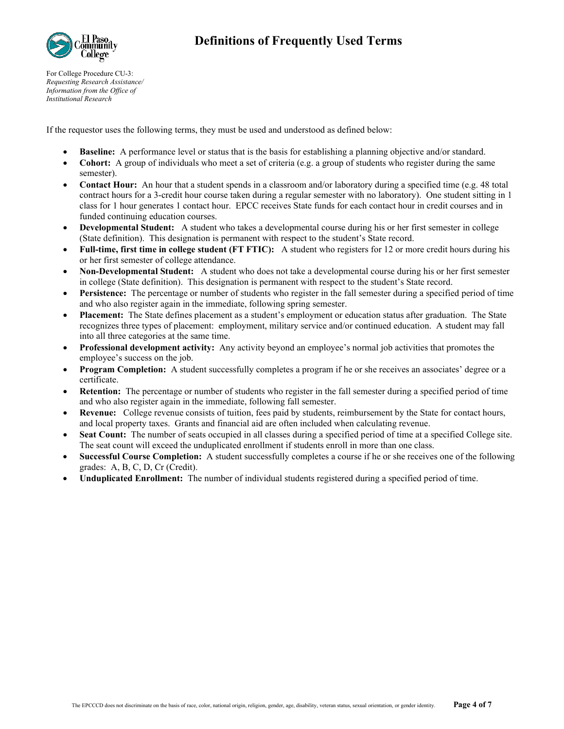

For College Procedure CU-3: *Requesting Research Assistance/ Information from the Office of Institutional Research*

If the requestor uses the following terms, they must be used and understood as defined below:

- **Baseline:** A performance level or status that is the basis for establishing a planning objective and/or standard.
- **Cohort:** A group of individuals who meet a set of criteria (e.g. a group of students who register during the same semester).
- **Contact Hour:** An hour that a student spends in a classroom and/or laboratory during a specified time (e.g. 48 total contract hours for a 3-credit hour course taken during a regular semester with no laboratory). One student sitting in 1 class for 1 hour generates 1 contact hour. EPCC receives State funds for each contact hour in credit courses and in funded continuing education courses.
- **Developmental Student:** A student who takes a developmental course during his or her first semester in college (State definition). This designation is permanent with respect to the student's State record.
- **Full-time, first time in college student (FT FTIC):** A student who registers for 12 or more credit hours during his or her first semester of college attendance.
- **Non-Developmental Student:** A student who does not take a developmental course during his or her first semester in college (State definition). This designation is permanent with respect to the student's State record.
- **Persistence:** The percentage or number of students who register in the fall semester during a specified period of time and who also register again in the immediate, following spring semester.
- **Placement:** The State defines placement as a student's employment or education status after graduation. The State recognizes three types of placement: employment, military service and/or continued education. A student may fall into all three categories at the same time.
- **Professional development activity:** Any activity beyond an employee's normal job activities that promotes the employee's success on the job.
- **Program Completion:** A student successfully completes a program if he or she receives an associates' degree or a certificate.
- **Retention:** The percentage or number of students who register in the fall semester during a specified period of time and who also register again in the immediate, following fall semester.
- **Revenue:** College revenue consists of tuition, fees paid by students, reimbursement by the State for contact hours, and local property taxes. Grants and financial aid are often included when calculating revenue.
- **Seat Count:** The number of seats occupied in all classes during a specified period of time at a specified College site. The seat count will exceed the unduplicated enrollment if students enroll in more than one class.
- **Successful Course Completion:** A student successfully completes a course if he or she receives one of the following grades: A, B, C, D, Cr (Credit).
- **Unduplicated Enrollment:** The number of individual students registered during a specified period of time.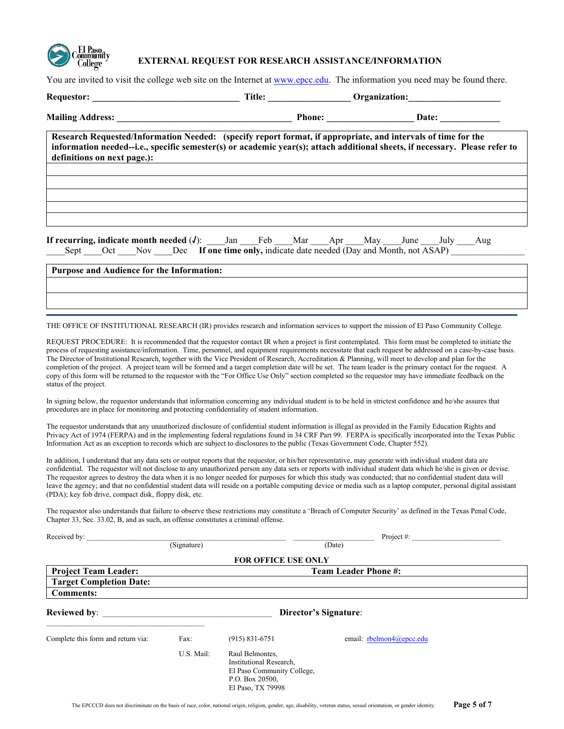

#### **EXTERNAL REQUEST FOR RESEARCH ASSISTANCE/INFORMATION**

You are invited to visit the college web site on the Internet at [www.epcc.edu.](http://www.epcc.edu/) The information you need may be found there.

| definitions on next page.):               | Research Requested/Information Needed: (specify report format, if appropriate, and intervals of time for the<br>information needed--i.e., specific semester(s) or academic year(s); attach additional sheets, if necessary. Please refer to<br><u>a sa barang di salah sahiji désa di salah sahiji désa di salah sahiji désa di salah sahiji désa di salah sahi</u> |  |  |
|-------------------------------------------|---------------------------------------------------------------------------------------------------------------------------------------------------------------------------------------------------------------------------------------------------------------------------------------------------------------------------------------------------------------------|--|--|
|                                           |                                                                                                                                                                                                                                                                                                                                                                     |  |  |
|                                           | <b>If recurring, indicate month needed (J):</b> Jan Feb Mar Apr May June July Aug<br>Sept Oct Nov Dec If one time only, indicate date needed (Day and Month, not ASAP)                                                                                                                                                                                              |  |  |
| Purpose and Audience for the Information: |                                                                                                                                                                                                                                                                                                                                                                     |  |  |
|                                           |                                                                                                                                                                                                                                                                                                                                                                     |  |  |
|                                           | THE OFFICE OF INSTITUTIONAL RESEARCH (IR) provides research and information services to support the mission of El Paso Community College.                                                                                                                                                                                                                           |  |  |

REQUEST PROCEDURE: It is recommended that the requestor contact IR when a project is first contemplated. This form must be completed to initiate the process of requesting assistance/information. Time, personnel, and equipment requirements necessitate that each request be addressed on a case-by-case basis. The Director of Institutional Research, together with the Vice President of Research, Accreditation & Planning, will meet to develop and plan for the completion of the project. A project team will be formed and a target completion date will be set. The team leader is the primary contact for the request. A copy of this form will be returned to the requestor with the "For Office Use Only" section completed so the requestor may have immediate feedback on the status of the project.

In signing below, the requestor understands that information concerning any individual student is to be held in strictest confidence and he/she assures that procedures are in place for monitoring and protecting confidentiality of student information.

The requestor understands that any unauthorized disclosure of confidential student information is illegal as provided in the Family Education Rights and Privacy Act of 1974 (FERPA) and in the implementing federal regulations found in 34 CRF Part 99. FERPA is specifically incorporated into the Texas Public Information Act as an exception to records which are subject to disclosures to the public (Texas Government Code, Chapter 552).

In addition, I understand that any data sets or output reports that the requestor, or his/her representative, may generate with individual student data are confidential. The requestor will not disclose to any unauthorized person any data sets or reports with individual student data which he/she is given or devise. The requestor agrees to destroy the data when it is no longer needed for purposes for which this study was conducted; that no confidential student data will leave the agency; and that no confidential student data will reside on a portable computing device or media such as a laptop computer, personal digital assistant (PDA); key fob drive, compact disk, floppy disk, etc.

The requestor also understands that failure to observe these restrictions may constitute a 'Breach of Computer Security' as defined in the Texas Penal Code, Chapter 33, Sec. 33.02, B, and as such, an offense constitutes a criminal offense.

| Received by:                       |                             |                                                                                                                  | Project $#$ :         |                          |  |  |
|------------------------------------|-----------------------------|------------------------------------------------------------------------------------------------------------------|-----------------------|--------------------------|--|--|
|                                    | (Signature)                 |                                                                                                                  | (Date)                |                          |  |  |
|                                    |                             | <b>FOR OFFICE USE ONLY</b>                                                                                       |                       |                          |  |  |
| <b>Project Team Leader:</b>        | <b>Team Leader Phone #:</b> |                                                                                                                  |                       |                          |  |  |
| <b>Target Completion Date:</b>     |                             |                                                                                                                  |                       |                          |  |  |
| <b>Comments:</b>                   |                             |                                                                                                                  |                       |                          |  |  |
| <b>Reviewed by:</b>                |                             |                                                                                                                  | Director's Signature: |                          |  |  |
| Complete this form and return via: | Fax:                        | $(915) 831 - 6751$                                                                                               |                       | email: rbelmon4@epcc.edu |  |  |
|                                    | U.S. Mail:                  | Raul Belmontes,<br>Institutional Research,<br>El Paso Community College,<br>P.O. Box 20500,<br>El Paso, TX 79998 |                       |                          |  |  |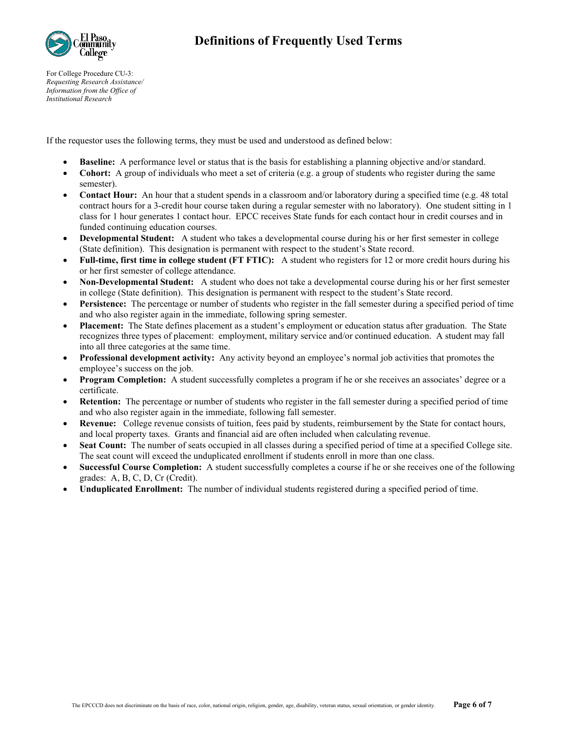

For College Procedure CU-3: *Requesting Research Assistance/ Information from the Office of Institutional Research*

If the requestor uses the following terms, they must be used and understood as defined below:

- **Baseline:** A performance level or status that is the basis for establishing a planning objective and/or standard.
- **Cohort:** A group of individuals who meet a set of criteria (e.g. a group of students who register during the same semester).
- **Contact Hour:** An hour that a student spends in a classroom and/or laboratory during a specified time (e.g. 48 total contract hours for a 3-credit hour course taken during a regular semester with no laboratory). One student sitting in 1 class for 1 hour generates 1 contact hour. EPCC receives State funds for each contact hour in credit courses and in funded continuing education courses.
- **Developmental Student:** A student who takes a developmental course during his or her first semester in college (State definition). This designation is permanent with respect to the student's State record.
- **Full-time, first time in college student (FT FTIC):** A student who registers for 12 or more credit hours during his or her first semester of college attendance.
- **Non-Developmental Student:** A student who does not take a developmental course during his or her first semester in college (State definition). This designation is permanent with respect to the student's State record.
- **Persistence:** The percentage or number of students who register in the fall semester during a specified period of time and who also register again in the immediate, following spring semester.
- **Placement:** The State defines placement as a student's employment or education status after graduation. The State recognizes three types of placement: employment, military service and/or continued education. A student may fall into all three categories at the same time.
- **Professional development activity:** Any activity beyond an employee's normal job activities that promotes the employee's success on the job.
- **Program Completion:** A student successfully completes a program if he or she receives an associates' degree or a certificate.
- **Retention:** The percentage or number of students who register in the fall semester during a specified period of time and who also register again in the immediate, following fall semester.
- **Revenue:** College revenue consists of tuition, fees paid by students, reimbursement by the State for contact hours, and local property taxes. Grants and financial aid are often included when calculating revenue.
- **Seat Count:** The number of seats occupied in all classes during a specified period of time at a specified College site. The seat count will exceed the unduplicated enrollment if students enroll in more than one class.
- **Successful Course Completion:** A student successfully completes a course if he or she receives one of the following grades: A, B, C, D, Cr (Credit).
- **Unduplicated Enrollment:** The number of individual students registered during a specified period of time.